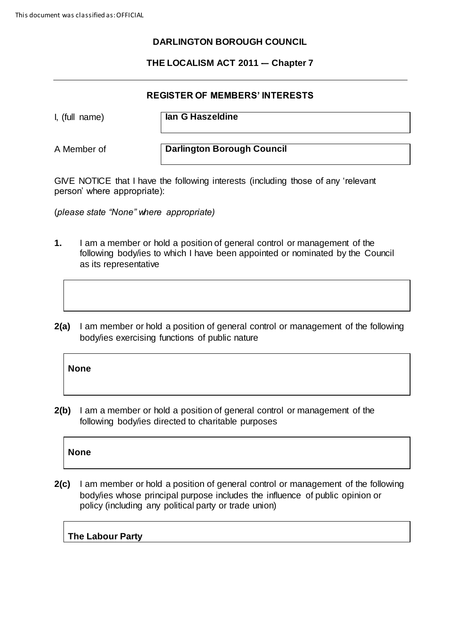### **DARLINGTON BOROUGH COUNCIL**

### **THE LOCALISM ACT 2011 -– Chapter 7**

### **REGISTER OF MEMBERS' INTERESTS**

I, (full name) **Ian G Haszeldine**

A Member of **Darlington Borough Council**

GIVE NOTICE that I have the following interests (including those of any 'relevant person' where appropriate):

(*please state "None" where appropriate)*

- **1.** I am a member or hold a position of general control or management of the following body/ies to which I have been appointed or nominated by the Council as its representative
- **2(a)** I am member or hold a position of general control or management of the following body/ies exercising functions of public nature

#### **None**

**2(b)** I am a member or hold a position of general control or management of the following body/ies directed to charitable purposes

### **None**

**2(c)** I am member or hold a position of general control or management of the following body/ies whose principal purpose includes the influence of public opinion or policy (including any political party or trade union)

### **The Labour Party**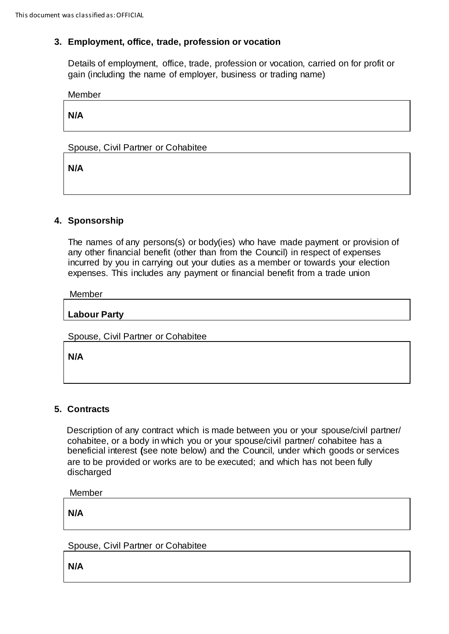### **3. Employment, office, trade, profession or vocation**

Details of employment, office, trade, profession or vocation, carried on for profit or gain (including the name of employer, business or trading name)

Member

**N/A**

Spouse, Civil Partner or Cohabitee

**N/A**

## **4. Sponsorship**

The names of any persons(s) or body(ies) who have made payment or provision of any other financial benefit (other than from the Council) in respect of expenses incurred by you in carrying out your duties as a member or towards your election expenses. This includes any payment or financial benefit from a trade union

Member

**Labour Party**

Spouse, Civil Partner or Cohabitee

**N/A**

## **5. Contracts**

Description of any contract which is made between you or your spouse/civil partner/ cohabitee, or a body in which you or your spouse/civil partner/ cohabitee has a beneficial interest **(**see note below) and the Council, under which goods or services are to be provided or works are to be executed; and which has not been fully discharged

Member

**N/A**

Spouse, Civil Partner or Cohabitee

**N/A**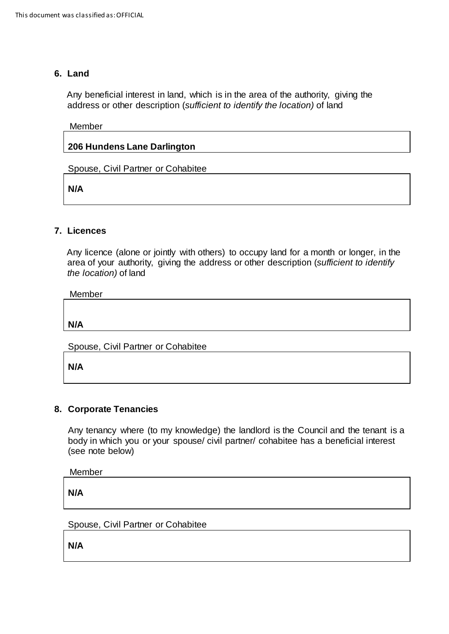### **6. Land**

Any beneficial interest in land, which is in the area of the authority, giving the address or other description (*sufficient to identify the location)* of land

#### Member

### **206 Hundens Lane Darlington**

Spouse, Civil Partner or Cohabitee

**N/A**

### **7. Licences**

 Any licence (alone or jointly with others) to occupy land for a month or longer, in the area of your authority, giving the address or other description (*sufficient to identify the location)* of land

Member

**N/A**

Spouse, Civil Partner or Cohabitee

**N/A**

### **8. Corporate Tenancies**

Any tenancy where (to my knowledge) the landlord is the Council and the tenant is a body in which you or your spouse/ civil partner/ cohabitee has a beneficial interest (see note below)

Member

**N/A**

Spouse, Civil Partner or Cohabitee

**N/A**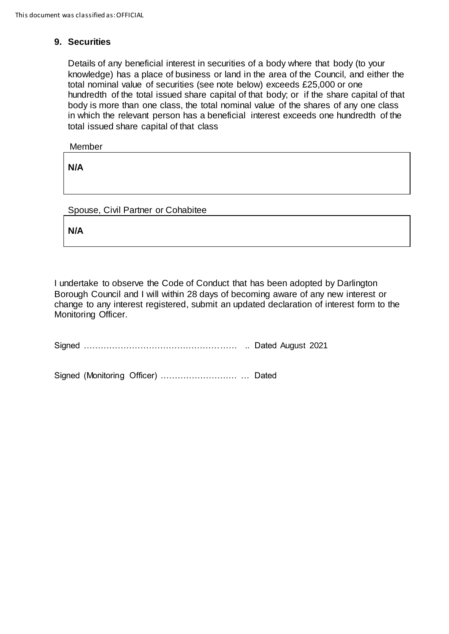### **9. Securities**

Details of any beneficial interest in securities of a body where that body (to your knowledge) has a place of business or land in the area of the Council, and either the total nominal value of securities (see note below) exceeds £25,000 or one hundredth of the total issued share capital of that body; or if the share capital of that body is more than one class, the total nominal value of the shares of any one class in which the relevant person has a beneficial interest exceeds one hundredth of the total issued share capital of that class

Member

**N/A**

Spouse, Civil Partner or Cohabitee

**N/A**

I undertake to observe the Code of Conduct that has been adopted by Darlington Borough Council and I will within 28 days of becoming aware of any new interest or change to any interest registered, submit an updated declaration of interest form to the Monitoring Officer.

Signed ……………………………………………… .. Dated August 2021

Signed (Monitoring Officer) ……………………… … Dated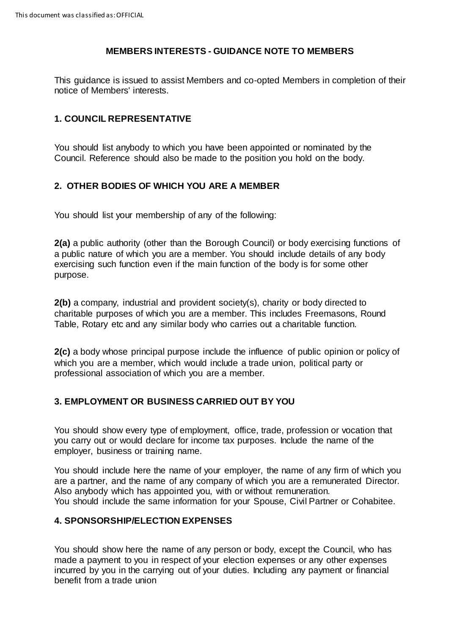### **MEMBERS INTERESTS - GUIDANCE NOTE TO MEMBERS**

This guidance is issued to assist Members and co-opted Members in completion of their notice of Members' interests.

# **1. COUNCIL REPRESENTATIVE**

You should list anybody to which you have been appointed or nominated by the Council. Reference should also be made to the position you hold on the body.

### **2. OTHER BODIES OF WHICH YOU ARE A MEMBER**

You should list your membership of any of the following:

**2(a)** a public authority (other than the Borough Council) or body exercising functions of a public nature of which you are a member. You should include details of any body exercising such function even if the main function of the body is for some other purpose.

**2(b)** a company, industrial and provident society(s), charity or body directed to charitable purposes of which you are a member. This includes Freemasons, Round Table, Rotary etc and any similar body who carries out a charitable function.

**2(c)** a body whose principal purpose include the influence of public opinion or policy of which you are a member, which would include a trade union, political party or professional association of which you are a member.

## **3. EMPLOYMENT OR BUSINESS CARRIED OUT BY YOU**

You should show every type of employment, office, trade, profession or vocation that you carry out or would declare for income tax purposes. Include the name of the employer, business or training name.

You should include here the name of your employer, the name of any firm of which you are a partner, and the name of any company of which you are a remunerated Director. Also anybody which has appointed you, with or without remuneration. You should include the same information for your Spouse, Civil Partner or Cohabitee.

### **4. SPONSORSHIP/ELECTION EXPENSES**

You should show here the name of any person or body, except the Council, who has made a payment to you in respect of your election expenses or any other expenses incurred by you in the carrying out of your duties. Including any payment or financial benefit from a trade union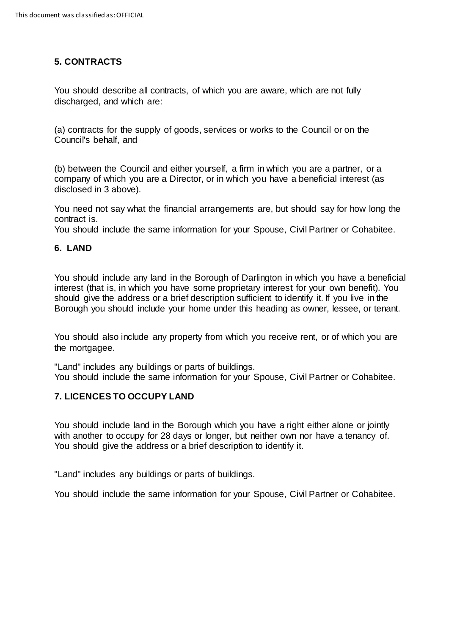# **5. CONTRACTS**

You should describe all contracts, of which you are aware, which are not fully discharged, and which are:

(a) contracts for the supply of goods, services or works to the Council or on the Council's behalf, and

(b) between the Council and either yourself, a firm in which you are a partner, or a company of which you are a Director, or in which you have a beneficial interest (as disclosed in 3 above).

You need not say what the financial arrangements are, but should say for how long the contract is.

You should include the same information for your Spouse, Civil Partner or Cohabitee.

### **6. LAND**

You should include any land in the Borough of Darlington in which you have a beneficial interest (that is, in which you have some proprietary interest for your own benefit). You should give the address or a brief description sufficient to identify it. If you live in the Borough you should include your home under this heading as owner, lessee, or tenant.

You should also include any property from which you receive rent, or of which you are the mortgagee.

"Land" includes any buildings or parts of buildings. You should include the same information for your Spouse, Civil Partner or Cohabitee.

### **7. LICENCES TO OCCUPY LAND**

You should include land in the Borough which you have a right either alone or jointly with another to occupy for 28 days or longer, but neither own nor have a tenancy of. You should give the address or a brief description to identify it.

"Land" includes any buildings or parts of buildings.

You should include the same information for your Spouse, Civil Partner or Cohabitee.